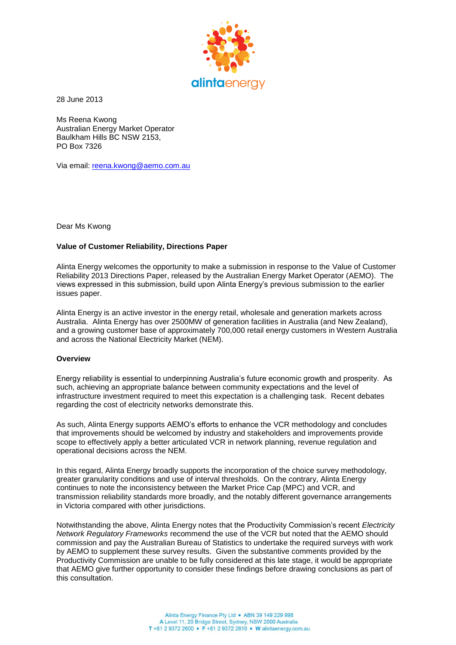

28 June 2013

Ms Reena Kwong Australian Energy Market Operator Baulkham Hills BC NSW 2153, PO Box 7326

Via email: [reena.kwong@aemo.com.au](mailto:reena.kwong@aemo.com.au)

Dear Ms Kwong

## **Value of Customer Reliability, Directions Paper**

Alinta Energy welcomes the opportunity to make a submission in response to the Value of Customer Reliability 2013 Directions Paper, released by the Australian Energy Market Operator (AEMO). The views expressed in this submission, build upon Alinta Energy's previous submission to the earlier issues paper.

Alinta Energy is an active investor in the energy retail, wholesale and generation markets across Australia. Alinta Energy has over 2500MW of generation facilities in Australia (and New Zealand), and a growing customer base of approximately 700,000 retail energy customers in Western Australia and across the National Electricity Market (NEM).

### **Overview**

Energy reliability is essential to underpinning Australia's future economic growth and prosperity. As such, achieving an appropriate balance between community expectations and the level of infrastructure investment required to meet this expectation is a challenging task. Recent debates regarding the cost of electricity networks demonstrate this.

As such, Alinta Energy supports AEMO's efforts to enhance the VCR methodology and concludes that improvements should be welcomed by industry and stakeholders and improvements provide scope to effectively apply a better articulated VCR in network planning, revenue regulation and operational decisions across the NEM.

In this regard, Alinta Energy broadly supports the incorporation of the choice survey methodology, greater granularity conditions and use of interval thresholds. On the contrary, Alinta Energy continues to note the inconsistency between the Market Price Cap (MPC) and VCR, and transmission reliability standards more broadly, and the notably different governance arrangements in Victoria compared with other jurisdictions.

Notwithstanding the above, Alinta Energy notes that the Productivity Commission's recent *Electricity Network Regulatory Frameworks* recommend the use of the VCR but noted that the AEMO should commission and pay the Australian Bureau of Statistics to undertake the required surveys with work by AEMO to supplement these survey results. Given the substantive comments provided by the Productivity Commission are unable to be fully considered at this late stage, it would be appropriate that AEMO give further opportunity to consider these findings before drawing conclusions as part of this consultation.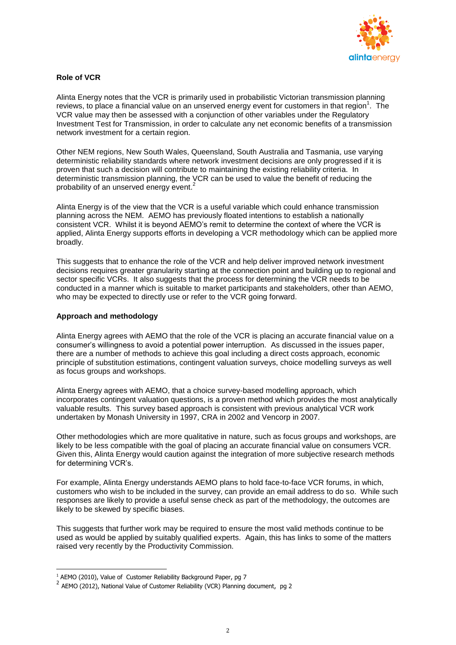

# **Role of VCR**

Alinta Energy notes that the VCR is primarily used in probabilistic Victorian transmission planning reviews, to place a financial value on an unserved energy event for customers in that region<sup>1</sup>. The VCR value may then be assessed with a conjunction of other variables under the Regulatory Investment Test for Transmission, in order to calculate any net economic benefits of a transmission network investment for a certain region.

Other NEM regions, New South Wales, Queensland, South Australia and Tasmania, use varying deterministic reliability standards where network investment decisions are only progressed if it is proven that such a decision will contribute to maintaining the existing reliability criteria. In deterministic transmission planning, the VCR can be used to value the benefit of reducing the probability of an unserved energy event.<sup>2</sup>

Alinta Energy is of the view that the VCR is a useful variable which could enhance transmission planning across the NEM. AEMO has previously floated intentions to establish a nationally consistent VCR. Whilst it is beyond AEMO's remit to determine the context of where the VCR is applied, Alinta Energy supports efforts in developing a VCR methodology which can be applied more broadly.

This suggests that to enhance the role of the VCR and help deliver improved network investment decisions requires greater granularity starting at the connection point and building up to regional and sector specific VCRs. It also suggests that the process for determining the VCR needs to be conducted in a manner which is suitable to market participants and stakeholders, other than AEMO, who may be expected to directly use or refer to the VCR going forward.

### **Approach and methodology**

Alinta Energy agrees with AEMO that the role of the VCR is placing an accurate financial value on a consumer's willingness to avoid a potential power interruption. As discussed in the issues paper, there are a number of methods to achieve this goal including a direct costs approach, economic principle of substitution estimations, contingent valuation surveys, choice modelling surveys as well as focus groups and workshops.

Alinta Energy agrees with AEMO, that a choice survey-based modelling approach, which incorporates contingent valuation questions, is a proven method which provides the most analytically valuable results. This survey based approach is consistent with previous analytical VCR work undertaken by Monash University in 1997, CRA in 2002 and Vencorp in 2007.

Other methodologies which are more qualitative in nature, such as focus groups and workshops, are likely to be less compatible with the goal of placing an accurate financial value on consumers VCR. Given this, Alinta Energy would caution against the integration of more subjective research methods for determining VCR's.

For example, Alinta Energy understands AEMO plans to hold face-to-face VCR forums, in which, customers who wish to be included in the survey, can provide an email address to do so. While such responses are likely to provide a useful sense check as part of the methodology, the outcomes are likely to be skewed by specific biases.

This suggests that further work may be required to ensure the most valid methods continue to be used as would be applied by suitably qualified experts. Again, this has links to some of the matters raised very recently by the Productivity Commission.

 $\overline{a}$ 

 $1$  AEMO (2010), Value of Customer Reliability Background Paper, pg 7

 $2$  AEMO (2012), National Value of Customer Reliability (VCR) Planning document, pg 2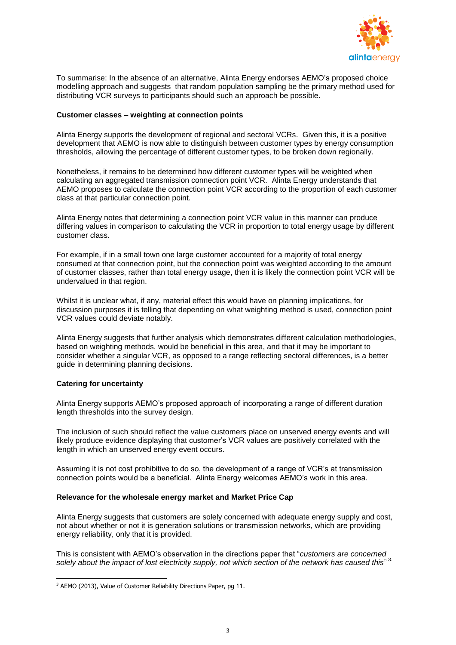

To summarise: In the absence of an alternative, Alinta Energy endorses AEMO's proposed choice modelling approach and suggests that random population sampling be the primary method used for distributing VCR surveys to participants should such an approach be possible.

## **Customer classes – weighting at connection points**

Alinta Energy supports the development of regional and sectoral VCRs. Given this, it is a positive development that AEMO is now able to distinguish between customer types by energy consumption thresholds, allowing the percentage of different customer types, to be broken down regionally.

Nonetheless, it remains to be determined how different customer types will be weighted when calculating an aggregated transmission connection point VCR. Alinta Energy understands that AEMO proposes to calculate the connection point VCR according to the proportion of each customer class at that particular connection point.

Alinta Energy notes that determining a connection point VCR value in this manner can produce differing values in comparison to calculating the VCR in proportion to total energy usage by different customer class.

For example, if in a small town one large customer accounted for a majority of total energy consumed at that connection point, but the connection point was weighted according to the amount of customer classes, rather than total energy usage, then it is likely the connection point VCR will be undervalued in that region.

Whilst it is unclear what, if any, material effect this would have on planning implications, for discussion purposes it is telling that depending on what weighting method is used, connection point VCR values could deviate notably.

Alinta Energy suggests that further analysis which demonstrates different calculation methodologies, based on weighting methods, would be beneficial in this area, and that it may be important to consider whether a singular VCR, as opposed to a range reflecting sectoral differences, is a better guide in determining planning decisions.

### **Catering for uncertainty**

Alinta Energy supports AEMO's proposed approach of incorporating a range of different duration length thresholds into the survey design.

The inclusion of such should reflect the value customers place on unserved energy events and will likely produce evidence displaying that customer's VCR values are positively correlated with the length in which an unserved energy event occurs.

Assuming it is not cost prohibitive to do so, the development of a range of VCR's at transmission connection points would be a beneficial. Alinta Energy welcomes AEMO's work in this area.

# **Relevance for the wholesale energy market and Market Price Cap**

Alinta Energy suggests that customers are solely concerned with adequate energy supply and cost, not about whether or not it is generation solutions or transmission networks, which are providing energy reliability, only that it is provided.

This is consistent with AEMO's observation in the directions paper that "*customers are concerned*  solely about the impact of lost electricity supply, not which section of the network has caused this"<sup>3.</sup>

 $\overline{a}$ <sup>3</sup> AEMO (2013), Value of Customer Reliability Directions Paper, pg 11.